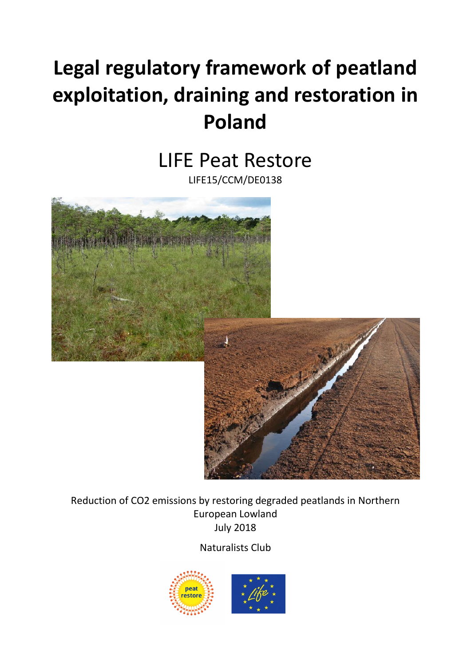# **Legal regulatory framework of peatland exploitation, draining and restoration in Poland**

LIFE Peat Restore

LIFE15/CCM/DE0138



Reduction of CO2 emissions by restoring degraded peatlands in Northern European Lowland July 2018

# Naturalists Club

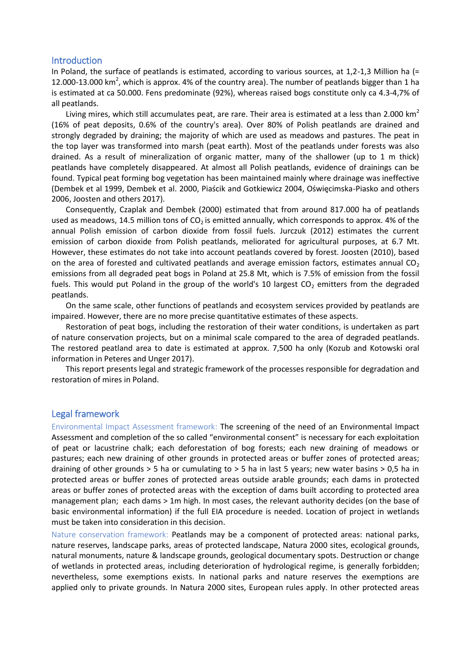#### Introduction

In Poland, the surface of peatlands is estimated, according to various sources, at 1,2-1,3 Million ha (= 12.000-13.000 km<sup>2</sup>, which is approx. 4% of the country area). The number of peatlands bigger than 1 ha is estimated at ca 50.000. Fens predominate (92%), whereas raised bogs constitute only ca 4.3-4,7% of all peatlands.

Living mires, which still accumulates peat, are rare. Their area is estimated at a less than 2.000 km<sup>2</sup> (16% of peat deposits, 0.6% of the country's area). Over 80% of Polish peatlands are drained and strongly degraded by draining; the majority of which are used as meadows and pastures. The peat in the top layer was transformed into marsh (peat earth). Most of the peatlands under forests was also drained. As a result of mineralization of organic matter, many of the shallower (up to 1 m thick) peatlands have completely disappeared. At almost all Polish peatlands, evidence of drainings can be found. Typical peat forming bog vegetation has been maintained mainly where drainage was ineffective (Dembek et al 1999, Dembek et al. 2000, Piaścik and Gotkiewicz 2004, Oświęcimska-Piasko and others 2006, Joosten and others 2017).

Consequently, Czaplak and Dembek (2000) estimated that from around 817.000 ha of peatlands used as meadows, 14.5 million tons of  $CO<sub>2</sub>$  is emitted annually, which corresponds to approx. 4% of the annual Polish emission of carbon dioxide from fossil fuels. Jurczuk (2012) estimates the current emission of carbon dioxide from Polish peatlands, meliorated for agricultural purposes, at 6.7 Mt. However, these estimates do not take into account peatlands covered by forest. Joosten (2010), based on the area of forested and cultivated peatlands and average emission factors, estimates annual  $CO<sub>2</sub>$ emissions from all degraded peat bogs in Poland at 25.8 Mt, which is 7.5% of emission from the fossil fuels. This would put Poland in the group of the world's 10 largest  $CO<sub>2</sub>$  emitters from the degraded peatlands.

On the same scale, other functions of peatlands and ecosystem services provided by peatlands are impaired. However, there are no more precise quantitative estimates of these aspects.

Restoration of peat bogs, including the restoration of their water conditions, is undertaken as part of nature conservation projects, but on a minimal scale compared to the area of degraded peatlands. The restored peatland area to date is estimated at approx. 7,500 ha only (Kozub and Kotowski oral information in Peteres and Unger 2017).

This report presents legal and strategic framework of the processes responsible for degradation and restoration of mires in Poland.

### Legal framework

Environmental Impact Assessment framework: The screening of the need of an Environmental Impact Assessment and completion of the so called "environmental consent" is necessary for each exploitation of peat or lacustrine chalk; each deforestation of bog forests; each new draining of meadows or pastures; each new draining of other grounds in protected areas or buffer zones of protected areas; draining of other grounds  $> 5$  ha or cumulating to  $> 5$  ha in last 5 years; new water basins  $> 0.5$  ha in protected areas or buffer zones of protected areas outside arable grounds; each dams in protected areas or buffer zones of protected areas with the exception of dams built according to protected area management plan; each dams > 1m high. In most cases, the relevant authority decides (on the base of basic environmental information) if the full EIA procedure is needed. Location of project in wetlands must be taken into consideration in this decision.

Nature conservation framework: Peatlands may be a component of protected areas: national parks, nature reserves, landscape parks, areas of protected landscape, Natura 2000 sites, ecological grounds, natural monuments, nature & landscape grounds, geological documentary spots. Destruction or change of wetlands in protected areas, including deterioration of hydrological regime, is generally forbidden; nevertheless, some exemptions exists. In national parks and nature reserves the exemptions are applied only to private grounds. In Natura 2000 sites, European rules apply. In other protected areas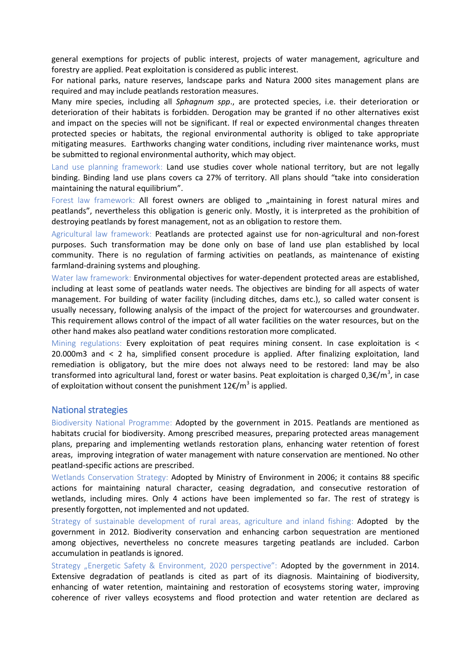general exemptions for projects of public interest, projects of water management, agriculture and forestry are applied. Peat exploitation is considered as public interest.

For national parks, nature reserves, landscape parks and Natura 2000 sites management plans are required and may include peatlands restoration measures.

Many mire species, including all *Sphagnum spp*., are protected species, i.e. their deterioration or deterioration of their habitats is forbidden. Derogation may be granted if no other alternatives exist and impact on the species will not be significant. If real or expected environmental changes threaten protected species or habitats, the regional environmental authority is obliged to take appropriate mitigating measures. Earthworks changing water conditions, including river maintenance works, must be submitted to regional environmental authority, which may object.

Land use planning framework: Land use studies cover whole national territory, but are not legally binding. Binding land use plans covers ca 27% of territory. All plans should "take into consideration maintaining the natural equilibrium".

Forest law framework: All forest owners are obliged to "maintaining in forest natural mires and peatlands", nevertheless this obligation is generic only. Mostly, it is interpreted as the prohibition of destroying peatlands by forest management, not as an obligation to restore them.

Agricultural law framework: Peatlands are protected against use for non-agricultural and non-forest purposes. Such transformation may be done only on base of land use plan established by local community. There is no regulation of farming activities on peatlands, as maintenance of existing farmland-draining systems and ploughing.

Water law framework: Environmental objectives for water-dependent protected areas are established, including at least some of peatlands water needs. The objectives are binding for all aspects of water management. For building of water facility (including ditches, dams etc.), so called water consent is usually necessary, following analysis of the impact of the project for watercourses and groundwater. This requirement allows control of the impact of all water facilities on the water resources, but on the other hand makes also peatland water conditions restoration more complicated.

Mining regulations: Every exploitation of peat requires mining consent. In case exploitation is < 20.000m3 and < 2 ha, simplified consent procedure is applied. After finalizing exploitation, land remediation is obligatory, but the mire does not always need to be restored: land may be also transformed into agricultural land, forest or water basins. Peat exploitation is charged 0,3€/m<sup>3</sup>, in case of exploitation without consent the punishment  $12 \epsilon/m^3$  is applied.

#### National strategies

Biodiversity National Programme: Adopted by the government in 2015. Peatlands are mentioned as habitats crucial for biodiversity. Among prescribed measures, preparing protected areas management plans, preparing and implementing wetlands restoration plans, enhancing water retention of forest areas, improving integration of water management with nature conservation are mentioned. No other peatland-specific actions are prescribed.

Wetlands Conservation Strategy: Adopted by Ministry of Environment in 2006; it contains 88 specific actions for maintaining natural character, ceasing degradation, and consecutive restoration of wetlands, including mires. Only 4 actions have been implemented so far. The rest of strategy is presently forgotten, not implemented and not updated.

Strategy of sustainable development of rural areas, agriculture and inland fishing: Adopted by the government in 2012. Biodiverity conservation and enhancing carbon sequestration are mentioned among objectives, nevertheless no concrete measures targeting peatlands are included. Carbon accumulation in peatlands is ignored.

Strategy "Energetic Safety & Environment, 2020 perspective": Adopted by the government in 2014. Extensive degradation of peatlands is cited as part of its diagnosis. Maintaining of biodiversity, enhancing of water retention, maintaining and restoration of ecosystems storing water, improving coherence of river valleys ecosystems and flood protection and water retention are declared as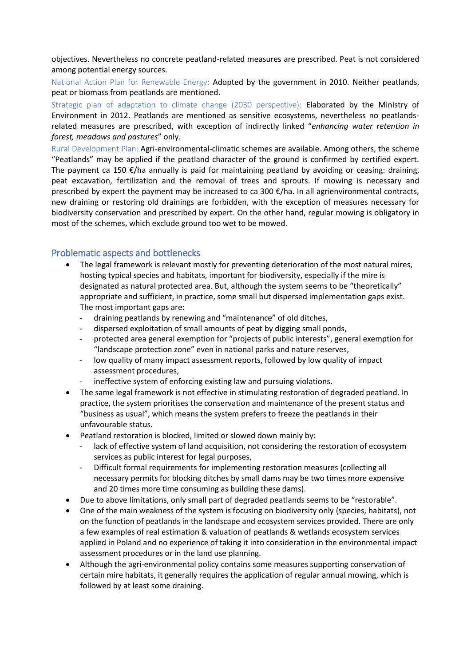objectives. Nevertheless no concrete peatland-related measures are prescribed. Peat is not considered among potential energy sources.

National Action Plan for Renewable Energy: Adopted by the government in 2010. Neither peatlands, peat or biomass from peatlands are mentioned.

Strategic plan of adaptation to climate change (2030 perspective): Elaborated by the Ministry of Environment in 2012. Peatlands are mentioned as sensitive ecosystems, nevertheless no peatlandsrelated measures are prescribed, with exception of indirectly linked "*enhancing water retention in forest, meadows and pastures*" only.

Rural Development Plan: Agri-environmental-climatic schemes are available. Among others, the scheme "Peatlands" may be applied if the peatland character of the ground is confirmed by certified expert. The payment ca 150  $\epsilon$ /ha annually is paid for maintaining peatland by avoiding or ceasing: draining, peat excavation, fertilization and the removal of trees and sprouts. If mowing is necessary and prescribed by expert the payment may be increased to ca 300 €/ha. In all agrienvironmental contracts, new draining or restoring old drainings are forbidden, with the exception of measures necessary for biodiversity conservation and prescribed by expert. On the other hand, regular mowing is obligatory in most of the schemes, which exclude ground too wet to be mowed.

## Problematic aspects and bottlenecks

- The legal framework is relevant mostly for preventing deterioration of the most natural mires, hosting typical species and habitats, important for biodiversity, especially if the mire is designated as natural protected area. But, although the system seems to be "theoretically" appropriate and sufficient, in practice, some small but dispersed implementation gaps exist. The most important gaps are:
	- draining peatlands by renewing and "maintenance" of old ditches,
	- dispersed exploitation of small amounts of peat by digging small ponds,
	- protected area general exemption for "projects of public interests", general exemption for "landscape protection zone" even in national parks and nature reserves,
	- low quality of many impact assessment reports, followed by low quality of impact assessment procedures,
	- ineffective system of enforcing existing law and pursuing violations.
- The same legal framework is not effective in stimulating restoration of degraded peatland. In practice, the system prioritises the conservation and maintenance of the present status and "business as usual", which means the system prefers to freeze the peatlands in their unfavourable status.
- Peatland restoration is blocked, limited or slowed down mainly by:
	- lack of effective system of land acquisition, not considering the restoration of ecosystem services as public interest for legal purposes,
	- Difficult formal requirements for implementing restoration measures (collecting all necessary permits for blocking ditches by small dams may be two times more expensive and 20 times more time consuming as building these dams).
- Due to above limitations, only small part of degraded peatlands seems to be "restorable".
- One of the main weakness of the system is focusing on biodiversity only (species, habitats), not on the function of peatlands in the landscape and ecosystem services provided. There are only a few examples of real estimation & valuation of peatlands & wetlands ecosystem services applied in Poland and no experience of taking it into consideration in the environmental impact assessment procedures or in the land use planning.
- Although the agri-environmental policy contains some measures supporting conservation of certain mire habitats, it generally requires the application of regular annual mowing, which is followed by at least some draining.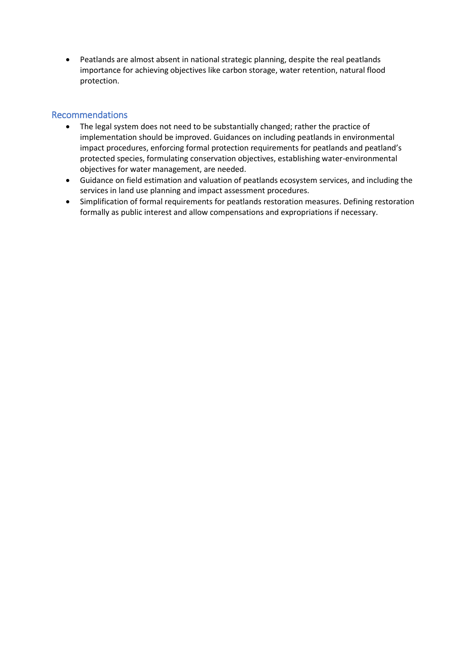Peatlands are almost absent in national strategic planning, despite the real peatlands importance for achieving objectives like carbon storage, water retention, natural flood protection.

# Recommendations

- The legal system does not need to be substantially changed; rather the practice of implementation should be improved. Guidances on including peatlands in environmental impact procedures, enforcing formal protection requirements for peatlands and peatland's protected species, formulating conservation objectives, establishing water-environmental objectives for water management, are needed.
- Guidance on field estimation and valuation of peatlands ecosystem services, and including the services in land use planning and impact assessment procedures.
- Simplification of formal requirements for peatlands restoration measures. Defining restoration formally as public interest and allow compensations and expropriations if necessary.